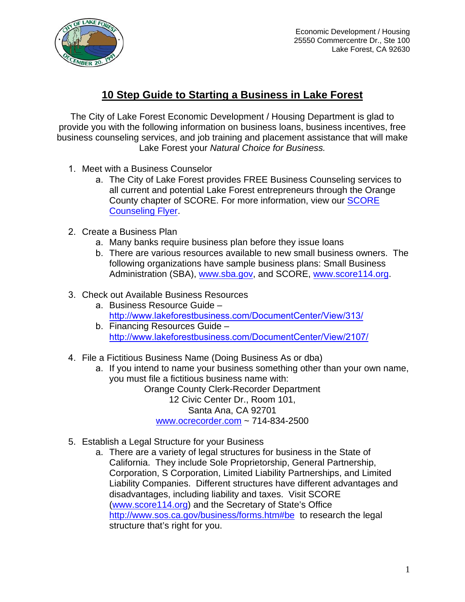

## **10 Step Guide to Starting a Business in Lake Forest**

The City of Lake Forest Economic Development / Housing Department is glad to provide you with the following information on business loans, business incentives, free business counseling services, and job training and placement assistance that will make Lake Forest your *Natural Choice for Business.* 

- 1. Meet with a Business Counselor
	- a. The City of Lake Forest provides FREE Business Counseling services to all current and potential Lake Forest entrepreneurs through the Orange County chapter of SCORE. For more information, view our [SCORE](https://www.lakeforestbusiness.com/DocumentCenter/View/46/SCORE-Flyer-PDF) [Counseling Flyer](https://www.lakeforestbusiness.com/DocumentCenter/View/46/SCORE-Flyer-PDF).
- 2. Create a Business Plan
	- a. Many banks require business plan before they issue loans
	- b. There are various resources available to new small business owners. The following organizations have sample business plans: Small Business Administration (SBA), [www.sba.gov](http://www.sba.gov/), and SCORE, [www.score114.org](http://www.score114.org/).
- 3. Check out Available Business Resources
	- a. Business Resource Guide [http://www.lakeforestbusiness.com/DocumentCenter/View/313/](http://www.lakeforestbusiness.com/DocumentCenter/View/313/Resource-Guide?bidId=)
	- b. Financing Resources Guide [http://www.lakeforestbusiness.com/DocumentCenter/View/2107/](http://www.lakeforestbusiness.com/DocumentCenter/View/2107/Finance-Resource-Guide?bidId=)
- 4. File a Fictitious Business Name (Doing Business As or dba)
	- a. If you intend to name your business something other than your own name, you must file a fictitious business name with: Orange County Clerk-Recorder Department 12 Civic Center Dr., Room 101, Santa Ana, CA 92701 [www.ocrecorder.com](http://www.ocrecorder.com/) ~ 714-834-2500
- 5. Establish a Legal Structure for your Business
	- a. There are a variety of legal structures for business in the State of California. They include Sole Proprietorship, General Partnership, Corporation, S Corporation, Limited Liability Partnerships, and Limited Liability Companies. Different structures have different advantages and disadvantages, including liability and taxes. Visit SCORE ([www.score114.org](http://www.score114.org/)) and the Secretary of State's Office <http://www.sos.ca.gov/business/forms.htm#be> to research the legal structure that's right for you.